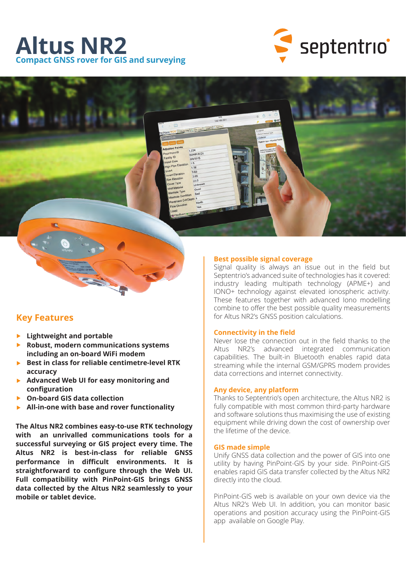# **Altus NR2 Compact GNSS rover for GIS and surveying**



# **Key Features**

- **Lightweight and portable**
- **Robust, modern communications systems including an on-board WiFi modem**
- ▶ Best in class for reliable centimetre-level RTK **accuracy**
- **Advanced Web UI for easy monitoring and configuration**
- **On-board GIS data collection**
- **All-in-one with base and rover functionality**

**The Altus NR2 combines easy-to-use RTK technology with an unrivalled communications tools for a successful surveying or GIS project every time. The Altus NR2 is best-in-class for reliable GNSS performance in difficult environments. It is straightforward to configure through the Web UI. Full compatibility with PinPoint-GIS brings GNSS data collected by the Altus NR2 seamlessly to your mobile or tablet device.**

### **Best possible signal coverage**

Signal quality is always an issue out in the field but Septentrio's advanced suite of technologies has it covered: industry leading multipath technology (APME+) and IONO+ technology against elevated ionospheric activity. These features together with advanced Iono modelling combine to offer the best possible quality measurements for Altus NR2's GNSS position calculations.

#### **Connectivity in the field**

Never lose the connection out in the field thanks to the Altus NR2's advanced integrated communication capabilities. The built-in Bluetooth enables rapid data streaming while the internal GSM/GPRS modem provides data corrections and internet connectivity.

#### **Any device, any platform**

Thanks to Septentrio's open architecture, the Altus NR2 is fully compatible with most common third-party hardware and software solutions thus maximising the use of existing equipment while driving down the cost of ownership over the lifetime of the device.

#### **GIS made simple**

Unify GNSS data collection and the power of GIS into one utility by having PinPoint-GIS by your side. PinPoint-GIS enables rapid GIS data transfer collected by the Altus NR2 directly into the cloud.

PinPoint-GIS web is available on your own device via the Altus NR2's Web UI. In addition, you can monitor basic operations and position accuracy using the PinPoint-GIS app available on Google Play.